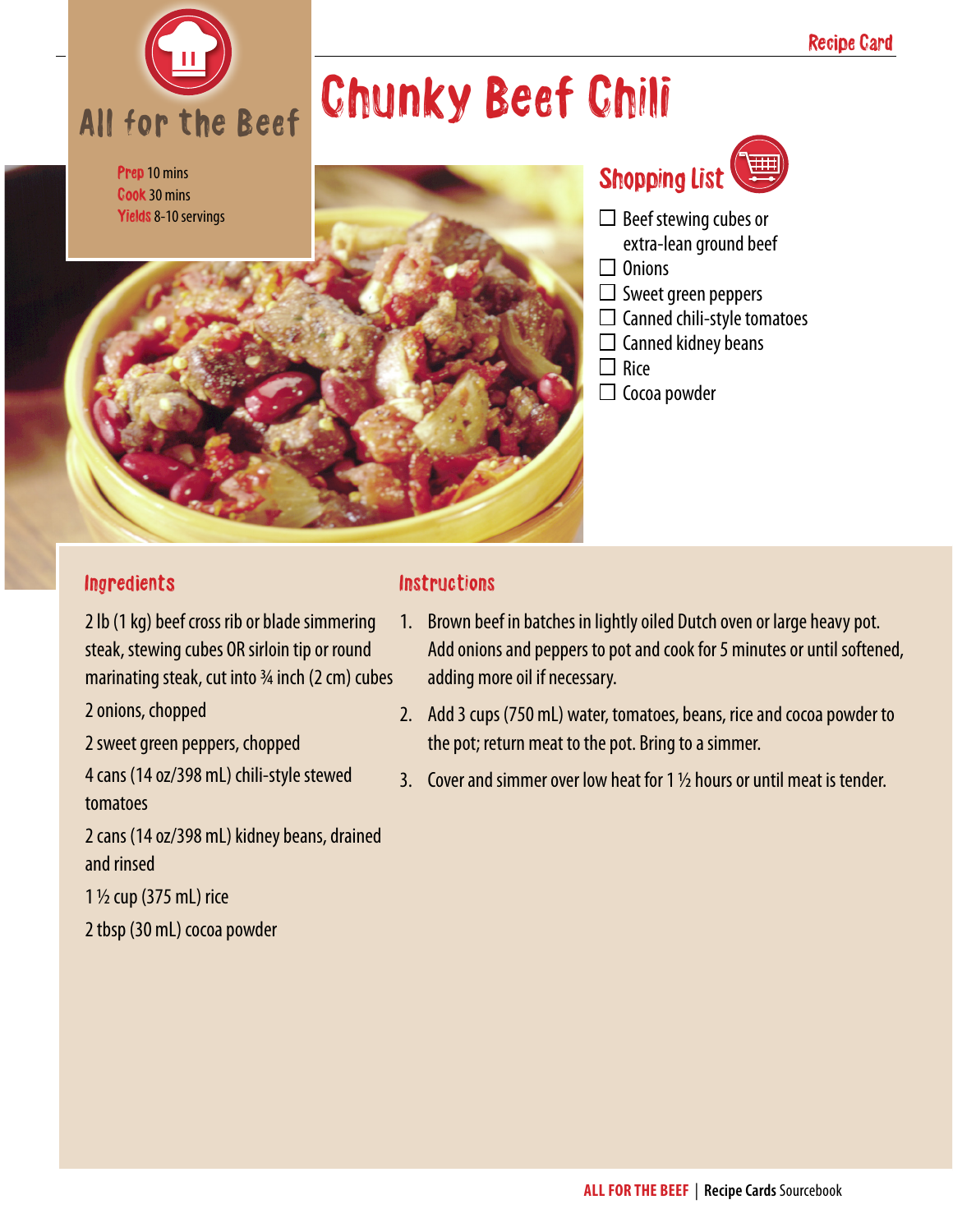

Prep 10 mins Cook 30 mins Yields 8-10 servings

## Chunky Beef Chili





- $\square$  Beef stewing cubes or
	- extra-lean ground beef
- $\Box$  Onions
- $\square$  Sweet green peppers
- $\Box$  Canned chili-style tomatoes
- $\Box$  Canned kidney beans
- $\Box$  Rice
- $\square$  Cocoa powder

#### Ingredients

2 lb (1 kg) beef cross rib or blade simmering steak, stewing cubes OR sirloin tip or round marinating steak, cut into 3/4 inch (2 cm) cubes

2 onions, chopped

2 sweet green peppers, chopped

4 cans (14 oz/398 mL) chili-style stewed tomatoes

2 cans (14 oz/398 mL) kidney beans, drained and rinsed

1 ½ cup (375 mL) rice

2 tbsp (30 mL) cocoa powder

#### **Instructions**

- 1. Brown beef in batches in lightly oiled Dutch oven or large heavy pot. Add onions and peppers to pot and cook for 5 minutes or until softened, adding more oil if necessary.
- 2. Add 3 cups (750 mL) water, tomatoes, beans, rice and cocoa powder to the pot; return meat to the pot. Bring to a simmer.
- 3. Cover and simmer over low heat for 1  $\frac{1}{2}$  hours or until meat is tender.